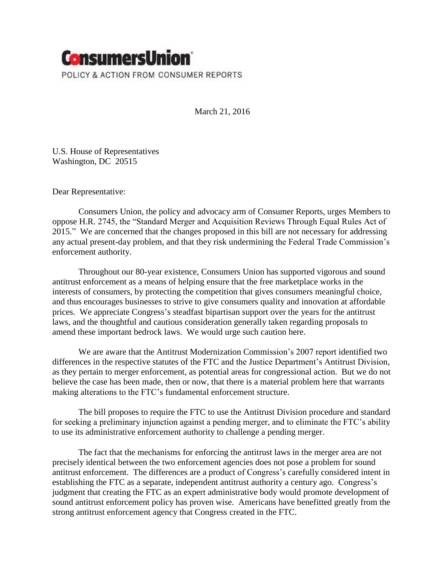

March 21, 2016

U.S. House of Representatives Washington, DC 20515

Dear Representative:

Consumers Union, the policy and advocacy arm of Consumer Reports, urges Members to oppose H.R. 2745, the "Standard Merger and Acquisition Reviews Through Equal Rules Act of 2015." We are concerned that the changes proposed in this bill are not necessary for addressing any actual present-day problem, and that they risk undermining the Federal Trade Commission's enforcement authority.

Throughout our 80-year existence, Consumers Union has supported vigorous and sound antitrust enforcement as a means of helping ensure that the free marketplace works in the interests of consumers, by protecting the competition that gives consumers meaningful choice, and thus encourages businesses to strive to give consumers quality and innovation at affordable prices. We appreciate Congress's steadfast bipartisan support over the years for the antitrust laws, and the thoughtful and cautious consideration generally taken regarding proposals to amend these important bedrock laws. We would urge such caution here.

We are aware that the Antitrust Modernization Commission's 2007 report identified two differences in the respective statutes of the FTC and the Justice Department's Antitrust Division, as they pertain to merger enforcement, as potential areas for congressional action. But we do not believe the case has been made, then or now, that there is a material problem here that warrants making alterations to the FTC's fundamental enforcement structure.

The bill proposes to require the FTC to use the Antitrust Division procedure and standard for seeking a preliminary injunction against a pending merger, and to eliminate the FTC's ability to use its administrative enforcement authority to challenge a pending merger.

The fact that the mechanisms for enforcing the antitrust laws in the merger area are not precisely identical between the two enforcement agencies does not pose a problem for sound antitrust enforcement. The differences are a product of Congress's carefully considered intent in establishing the FTC as a separate, independent antitrust authority a century ago. Congress's judgment that creating the FTC as an expert administrative body would promote development of sound antitrust enforcement policy has proven wise. Americans have benefitted greatly from the strong antitrust enforcement agency that Congress created in the FTC.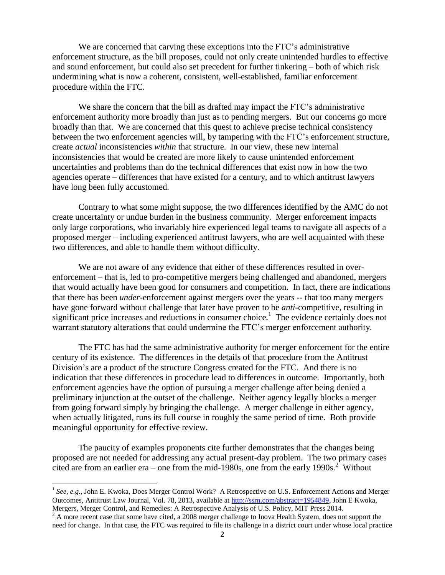We are concerned that carving these exceptions into the FTC's administrative enforcement structure, as the bill proposes, could not only create unintended hurdles to effective and sound enforcement, but could also set precedent for further tinkering – both of which risk undermining what is now a coherent, consistent, well-established, familiar enforcement procedure within the FTC.

We share the concern that the bill as drafted may impact the FTC's administrative enforcement authority more broadly than just as to pending mergers. But our concerns go more broadly than that. We are concerned that this quest to achieve precise technical consistency between the two enforcement agencies will, by tampering with the FTC's enforcement structure, create *actual* inconsistencies *within* that structure. In our view, these new internal inconsistencies that would be created are more likely to cause unintended enforcement uncertainties and problems than do the technical differences that exist now in how the two agencies operate – differences that have existed for a century, and to which antitrust lawyers have long been fully accustomed.

Contrary to what some might suppose, the two differences identified by the AMC do not create uncertainty or undue burden in the business community. Merger enforcement impacts only large corporations, who invariably hire experienced legal teams to navigate all aspects of a proposed merger – including experienced antitrust lawyers, who are well acquainted with these two differences, and able to handle them without difficulty.

We are not aware of any evidence that either of these differences resulted in overenforcement – that is, led to pro-competitive mergers being challenged and abandoned, mergers that would actually have been good for consumers and competition. In fact, there are indications that there has been *under*-enforcement against mergers over the years -- that too many mergers have gone forward without challenge that later have proven to be *anti*-competitive, resulting in significant price increases and reductions in consumer choice.<sup>1</sup> The evidence certainly does not warrant statutory alterations that could undermine the FTC's merger enforcement authority.

The FTC has had the same administrative authority for merger enforcement for the entire century of its existence. The differences in the details of that procedure from the Antitrust Division's are a product of the structure Congress created for the FTC. And there is no indication that these differences in procedure lead to differences in outcome. Importantly, both enforcement agencies have the option of pursuing a merger challenge after being denied a preliminary injunction at the outset of the challenge. Neither agency legally blocks a merger from going forward simply by bringing the challenge. A merger challenge in either agency, when actually litigated, runs its full course in roughly the same period of time. Both provide meaningful opportunity for effective review.

The paucity of examples proponents cite further demonstrates that the changes being proposed are not needed for addressing any actual present-day problem. The two primary cases cited are from an earlier era – one from the mid-1980s, one from the early 1990s.<sup>2</sup> Without

l

<sup>&</sup>lt;sup>1</sup> See, e.g., John E. Kwoka, Does Merger Control Work? A Retrospective on U.S. Enforcement Actions and Merger Outcomes, Antitrust Law Journal, Vol. 78, 2013, available at [http://ssrn.com/abstract=1954849,](http://ssrn.com/abstract=1954849) John E Kwoka, Mergers, Merger Control, and Remedies: A Retrospective Analysis of U.S. Policy, MIT Press 2014.

<sup>&</sup>lt;sup>2</sup> A more recent case that some have cited, a 2008 merger challenge to Inova Health System, does not support the need for change. In that case, the FTC was required to file its challenge in a district court under whose local practice